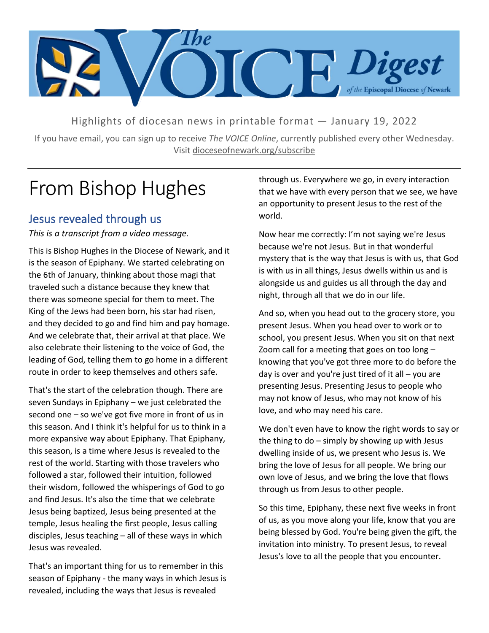

Highlights of diocesan news in printable format — January 19, 2022

If you have email, you can sign up to receive *The VOICE Online*, currently published every other Wednesday. Visit dioceseofnewark.org/subscribe

# From Bishop Hughes

### Jesus revealed through us

*This is a transcript from a video message.*

This is Bishop Hughes in the Diocese of Newark, and it is the season of Epiphany. We started celebrating on the 6th of January, thinking about those magi that traveled such a distance because they knew that there was someone special for them to meet. The King of the Jews had been born, his star had risen, and they decided to go and find him and pay homage. And we celebrate that, their arrival at that place. We also celebrate their listening to the voice of God, the leading of God, telling them to go home in a different route in order to keep themselves and others safe.

That's the start of the celebration though. There are seven Sundays in Epiphany – we just celebrated the second one – so we've got five more in front of us in this season. And I think it's helpful for us to think in a more expansive way about Epiphany. That Epiphany, this season, is a time where Jesus is revealed to the rest of the world. Starting with those travelers who followed a star, followed their intuition, followed their wisdom, followed the whisperings of God to go and find Jesus. It's also the time that we celebrate Jesus being baptized, Jesus being presented at the temple, Jesus healing the first people, Jesus calling disciples, Jesus teaching – all of these ways in which Jesus was revealed.

That's an important thing for us to remember in this season of Epiphany - the many ways in which Jesus is revealed, including the ways that Jesus is revealed

through us. Everywhere we go, in every interaction that we have with every person that we see, we have an opportunity to present Jesus to the rest of the world.

Now hear me correctly: I'm not saying we're Jesus because we're not Jesus. But in that wonderful mystery that is the way that Jesus is with us, that God is with us in all things, Jesus dwells within us and is alongside us and guides us all through the day and night, through all that we do in our life.

And so, when you head out to the grocery store, you present Jesus. When you head over to work or to school, you present Jesus. When you sit on that next Zoom call for a meeting that goes on too long – knowing that you've got three more to do before the day is over and you're just tired of it all  $-$  you are presenting Jesus. Presenting Jesus to people who may not know of Jesus, who may not know of his love, and who may need his care.

We don't even have to know the right words to say or the thing to do  $-$  simply by showing up with Jesus dwelling inside of us, we present who Jesus is. We bring the love of Jesus for all people. We bring our own love of Jesus, and we bring the love that flows through us from Jesus to other people.

So this time, Epiphany, these next five weeks in front of us, as you move along your life, know that you are being blessed by God. You're being given the gift, the invitation into ministry. To present Jesus, to reveal Jesus's love to all the people that you encounter.